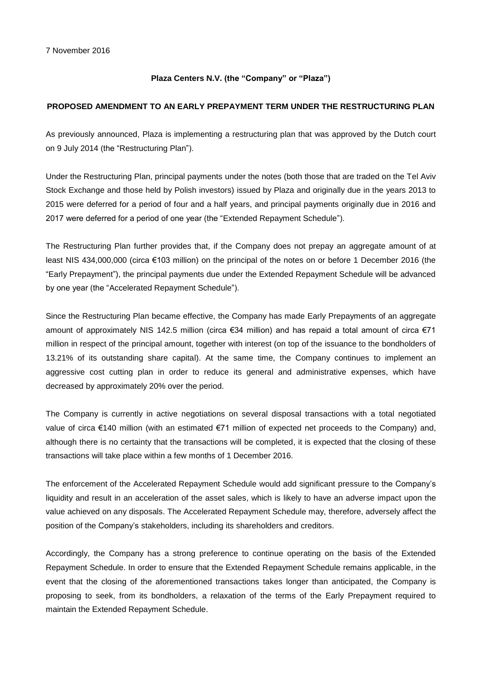## **Plaza Centers N.V. (the "Company" or "Plaza")**

## **PROPOSED AMENDMENT TO AN EARLY PREPAYMENT TERM UNDER THE RESTRUCTURING PLAN**

As previously announced, Plaza is implementing a restructuring plan that was approved by the Dutch court on 9 July 2014 (the "Restructuring Plan").

Under the Restructuring Plan, principal payments under the notes (both those that are traded on the Tel Aviv Stock Exchange and those held by Polish investors) issued by Plaza and originally due in the years 2013 to 2015 were deferred for a period of four and a half years, and principal payments originally due in 2016 and 2017 were deferred for a period of one year (the "Extended Repayment Schedule").

The Restructuring Plan further provides that, if the Company does not prepay an aggregate amount of at least NIS 434,000,000 (circa €103 million) on the principal of the notes on or before 1 December 2016 (the "Early Prepayment"), the principal payments due under the Extended Repayment Schedule will be advanced by one year (the "Accelerated Repayment Schedule").

Since the Restructuring Plan became effective, the Company has made Early Prepayments of an aggregate amount of approximately NIS 142.5 million (circa €34 million) and has repaid a total amount of circa €71 million in respect of the principal amount, together with interest (on top of the issuance to the bondholders of 13.21% of its outstanding share capital). At the same time, the Company continues to implement an aggressive cost cutting plan in order to reduce its general and administrative expenses, which have decreased by approximately 20% over the period.

The Company is currently in active negotiations on several disposal transactions with a total negotiated value of circa €140 million (with an estimated €71 million of expected net proceeds to the Company) and, although there is no certainty that the transactions will be completed, it is expected that the closing of these transactions will take place within a few months of 1 December 2016.

The enforcement of the Accelerated Repayment Schedule would add significant pressure to the Company's liquidity and result in an acceleration of the asset sales, which is likely to have an adverse impact upon the value achieved on any disposals. The Accelerated Repayment Schedule may, therefore, adversely affect the position of the Company's stakeholders, including its shareholders and creditors.

Accordingly, the Company has a strong preference to continue operating on the basis of the Extended Repayment Schedule. In order to ensure that the Extended Repayment Schedule remains applicable, in the event that the closing of the aforementioned transactions takes longer than anticipated, the Company is proposing to seek, from its bondholders, a relaxation of the terms of the Early Prepayment required to maintain the Extended Repayment Schedule.